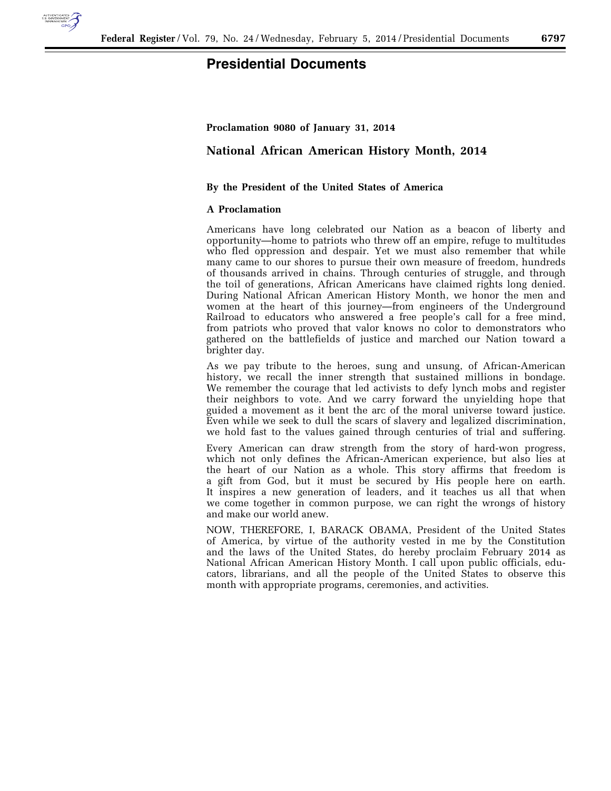

# **Presidential Documents**

## **Proclamation 9080 of January 31, 2014**

# **National African American History Month, 2014**

## **By the President of the United States of America**

#### **A Proclamation**

Americans have long celebrated our Nation as a beacon of liberty and opportunity—home to patriots who threw off an empire, refuge to multitudes who fled oppression and despair. Yet we must also remember that while many came to our shores to pursue their own measure of freedom, hundreds of thousands arrived in chains. Through centuries of struggle, and through the toil of generations, African Americans have claimed rights long denied. During National African American History Month, we honor the men and women at the heart of this journey—from engineers of the Underground Railroad to educators who answered a free people's call for a free mind, from patriots who proved that valor knows no color to demonstrators who gathered on the battlefields of justice and marched our Nation toward a brighter day.

As we pay tribute to the heroes, sung and unsung, of African-American history, we recall the inner strength that sustained millions in bondage. We remember the courage that led activists to defy lynch mobs and register their neighbors to vote. And we carry forward the unyielding hope that guided a movement as it bent the arc of the moral universe toward justice. Even while we seek to dull the scars of slavery and legalized discrimination, we hold fast to the values gained through centuries of trial and suffering.

Every American can draw strength from the story of hard-won progress, which not only defines the African-American experience, but also lies at the heart of our Nation as a whole. This story affirms that freedom is a gift from God, but it must be secured by His people here on earth. It inspires a new generation of leaders, and it teaches us all that when we come together in common purpose, we can right the wrongs of history and make our world anew.

NOW, THEREFORE, I, BARACK OBAMA, President of the United States of America, by virtue of the authority vested in me by the Constitution and the laws of the United States, do hereby proclaim February 2014 as National African American History Month. I call upon public officials, educators, librarians, and all the people of the United States to observe this month with appropriate programs, ceremonies, and activities.